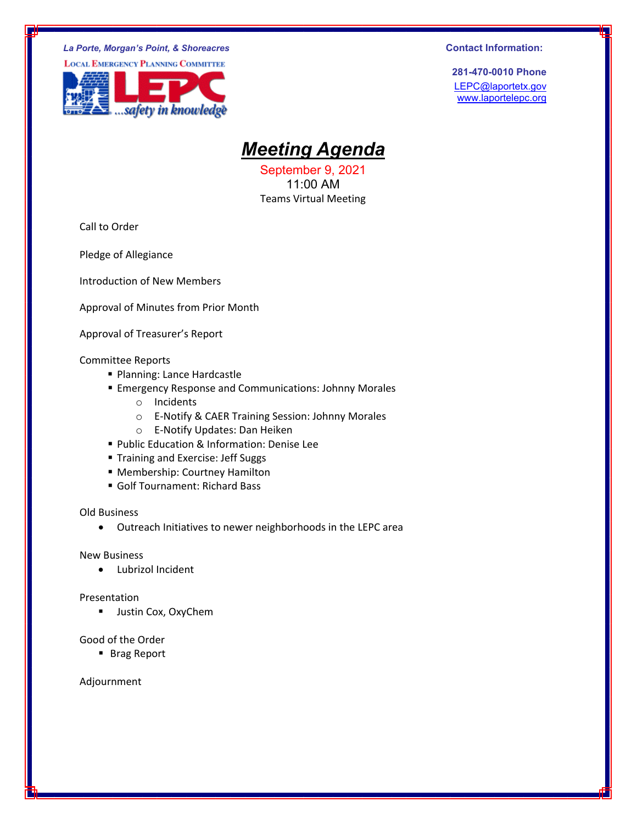#### *La Porte, Morgan's Point, & Shoreacres* **Contact Information: Contact Information: Contact Information: Contact Information:**

**LOCAL EMERGENCY PLANNING COMMITTEE** 



**281-470-0010 Phone** LEPC@laportetx.gov www.laportelepc.org

# *Meeting Agenda*

September 9, 2021 11:00 AM Teams Virtual Meeting

Call to Order

Pledge of Allegiance

Introduction of New Members

Approval of Minutes from Prior Month

Approval of Treasurer's Report

#### Committee Reports

- **Planning: Lance Hardcastle**
- **Emergency Response and Communications: Johnny Morales** 
	- o Incidents
	- o E‐Notify & CAER Training Session: Johnny Morales
	- o E‐Notify Updates: Dan Heiken
- **Public Education & Information: Denise Lee**
- **Training and Exercise: Jeff Suggs**
- Membership: Courtney Hamilton
- Golf Tournament: Richard Bass

Old Business

Outreach Initiatives to newer neighborhoods in the LEPC area

New Business

Lubrizol Incident

#### Presentation

**Justin Cox, OxyChem** 

#### Good of the Order

■ Brag Report

Adjournment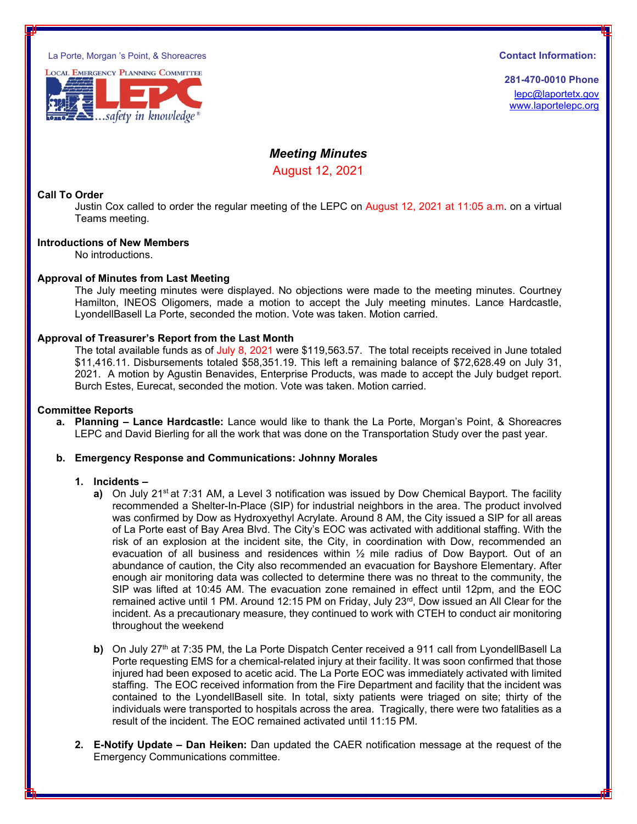La Porte, Morgan 's Point, & Shoreacres **Contact Information:** 



**281-470-0010 Phone** lepc@laportetx.gov www.laportelepc.org

## *Meeting Minutes*  August 12, 2021

### **Call To Order**

Justin Cox called to order the regular meeting of the LEPC on August 12, 2021 at 11:05 a.m. on a virtual Teams meeting.

#### **Introductions of New Members**

No introductions.

#### **Approval of Minutes from Last Meeting**

The July meeting minutes were displayed. No objections were made to the meeting minutes. Courtney Hamilton, INEOS Oligomers, made a motion to accept the July meeting minutes. Lance Hardcastle, LyondellBasell La Porte, seconded the motion. Vote was taken. Motion carried.

#### **Approval of Treasurer's Report from the Last Month**

The total available funds as of July 8, 2021 were \$119,563.57. The total receipts received in June totaled \$11,416.11. Disbursements totaled \$58,351.19. This left a remaining balance of \$72,628.49 on July 31, 2021. A motion by Agustin Benavides, Enterprise Products, was made to accept the July budget report. Burch Estes, Eurecat, seconded the motion. Vote was taken. Motion carried.

#### **Committee Reports**

**a. Planning – Lance Hardcastle:** Lance would like to thank the La Porte, Morgan's Point, & Shoreacres LEPC and David Bierling for all the work that was done on the Transportation Study over the past year.

#### **b. Emergency Response and Communications: Johnny Morales**

#### **1. Incidents –**

- **a)** On July 21<sup>st</sup> at 7:31 AM, a Level 3 notification was issued by Dow Chemical Bayport. The facility recommended a Shelter-In-Place (SIP) for industrial neighbors in the area. The product involved was confirmed by Dow as Hydroxyethyl Acrylate. Around 8 AM, the City issued a SIP for all areas of La Porte east of Bay Area Blvd. The City's EOC was activated with additional staffing. With the risk of an explosion at the incident site, the City, in coordination with Dow, recommended an evacuation of all business and residences within ½ mile radius of Dow Bayport. Out of an abundance of caution, the City also recommended an evacuation for Bayshore Elementary. After enough air monitoring data was collected to determine there was no threat to the community, the SIP was lifted at 10:45 AM. The evacuation zone remained in effect until 12pm, and the EOC remained active until 1 PM. Around 12:15 PM on Friday, July 23<sup>rd</sup>, Dow issued an All Clear for the incident. As a precautionary measure, they continued to work with CTEH to conduct air monitoring throughout the weekend
- **b)** On July 27<sup>th</sup> at 7:35 PM, the La Porte Dispatch Center received a 911 call from LyondellBasell La Porte requesting EMS for a chemical-related injury at their facility. It was soon confirmed that those injured had been exposed to acetic acid. The La Porte EOC was immediately activated with limited staffing. The EOC received information from the Fire Department and facility that the incident was contained to the LyondellBasell site. In total, sixty patients were triaged on site; thirty of the individuals were transported to hospitals across the area. Tragically, there were two fatalities as a result of the incident. The EOC remained activated until 11:15 PM.
- **2. E-Notify Update Dan Heiken:** Dan updated the CAER notification message at the request of the Emergency Communications committee.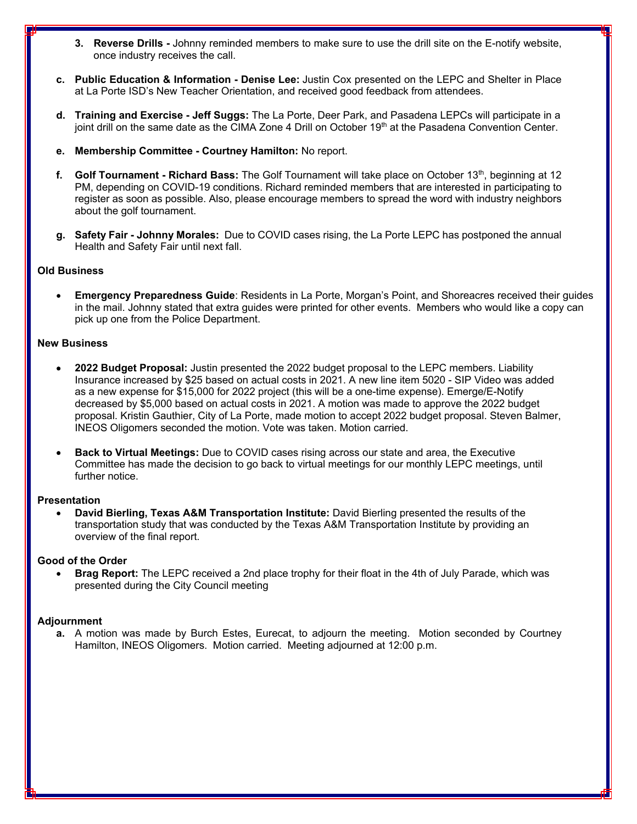- **3. Reverse Drills** Johnny reminded members to make sure to use the drill site on the E-notify website, once industry receives the call.
- **c. Public Education & Information Denise Lee:** Justin Cox presented on the LEPC and Shelter in Place at La Porte ISD's New Teacher Orientation, and received good feedback from attendees.
- **d. Training and Exercise Jeff Suggs:** The La Porte, Deer Park, and Pasadena LEPCs will participate in a joint drill on the same date as the CIMA Zone 4 Drill on October 19<sup>th</sup> at the Pasadena Convention Center.
- **e. Membership Committee Courtney Hamilton:** No report.
- **f. Golf Tournament Richard Bass:** The Golf Tournament will take place on October 13th, beginning at 12 PM, depending on COVID-19 conditions. Richard reminded members that are interested in participating to register as soon as possible. Also, please encourage members to spread the word with industry neighbors about the golf tournament.
- **g. Safety Fair Johnny Morales:** Due to COVID cases rising, the La Porte LEPC has postponed the annual Health and Safety Fair until next fall.

### **Old Business**

 **Emergency Preparedness Guide**: Residents in La Porte, Morgan's Point, and Shoreacres received their guides in the mail. Johnny stated that extra guides were printed for other events. Members who would like a copy can pick up one from the Police Department.

#### **New Business**

- **2022 Budget Proposal:** Justin presented the 2022 budget proposal to the LEPC members. Liability Insurance increased by \$25 based on actual costs in 2021. A new line item 5020 - SIP Video was added as a new expense for \$15,000 for 2022 project (this will be a one-time expense). Emerge/E-Notify decreased by \$5,000 based on actual costs in 2021. A motion was made to approve the 2022 budget proposal. Kristin Gauthier, City of La Porte, made motion to accept 2022 budget proposal. Steven Balmer, INEOS Oligomers seconded the motion. Vote was taken. Motion carried.
- **Back to Virtual Meetings:** Due to COVID cases rising across our state and area, the Executive Committee has made the decision to go back to virtual meetings for our monthly LEPC meetings, until further notice.

#### **Presentation**

 **David Bierling, Texas A&M Transportation Institute:** David Bierling presented the results of the transportation study that was conducted by the Texas A&M Transportation Institute by providing an overview of the final report.

#### **Good of the Order**

 **Brag Report:** The LEPC received a 2nd place trophy for their float in the 4th of July Parade, which was presented during the City Council meeting

#### **Adjournment**

**a.** A motion was made by Burch Estes, Eurecat, to adjourn the meeting. Motion seconded by Courtney Hamilton, INEOS Oligomers. Motion carried. Meeting adjourned at 12:00 p.m.